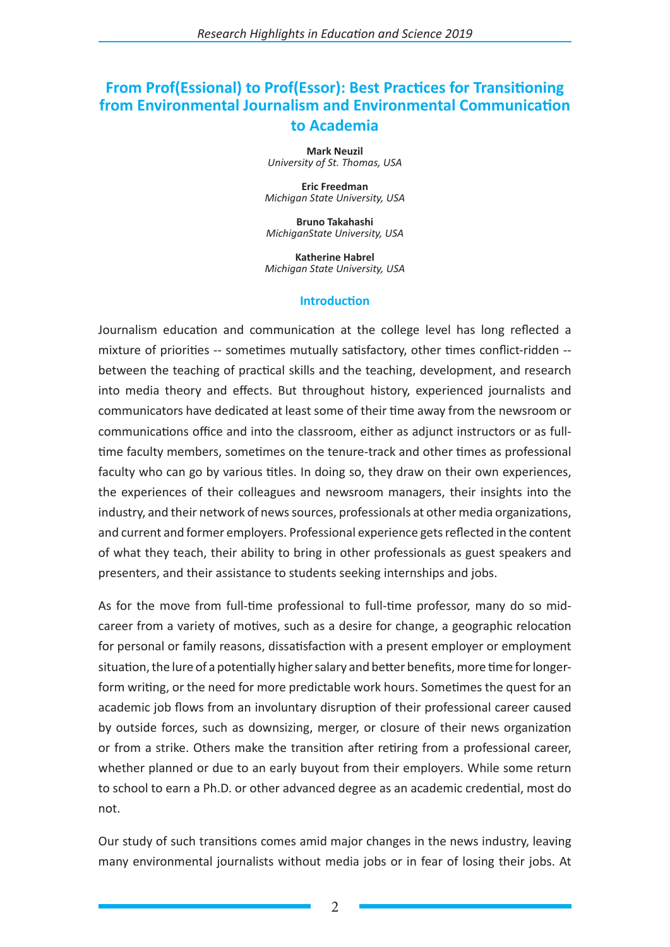# **From Prof(Essional) to Prof(Essor): Best Practices for Transitioning from Environmental Journalism and Environmental Communication to Academia**

**Mark Neuzil** *University of St. Thomas, USA*

**Eric Freedman** *Michigan State University, USA*

**Bruno Takahashi** *MichiganState University, USA*

**Katherine Habrel** *Michigan State University, USA*

#### **Introduction**

Journalism education and communication at the college level has long reflected a mixture of priorities -- sometimes mutually satisfactory, other times conflict-ridden - between the teaching of practical skills and the teaching, development, and research into media theory and effects. But throughout history, experienced journalists and communicators have dedicated at least some of their time away from the newsroom or communications office and into the classroom, either as adjunct instructors or as fulltime faculty members, sometimes on the tenure-track and other times as professional faculty who can go by various titles. In doing so, they draw on their own experiences, the experiences of their colleagues and newsroom managers, their insights into the industry, and their network of news sources, professionals at other media organizations, and current and former employers. Professional experience gets reflected in the content of what they teach, their ability to bring in other professionals as guest speakers and presenters, and their assistance to students seeking internships and jobs.

As for the move from full-time professional to full-time professor, many do so midcareer from a variety of motives, such as a desire for change, a geographic relocation for personal or family reasons, dissatisfaction with a present employer or employment situation, the lure of a potentially higher salary and better benefits, more time for longerform writing, or the need for more predictable work hours. Sometimes the quest for an academic job flows from an involuntary disruption of their professional career caused by outside forces, such as downsizing, merger, or closure of their news organization or from a strike. Others make the transition after retiring from a professional career, whether planned or due to an early buyout from their employers. While some return to school to earn a Ph.D. or other advanced degree as an academic credential, most do not.

Our study of such transitions comes amid major changes in the news industry, leaving many environmental journalists without media jobs or in fear of losing their jobs. At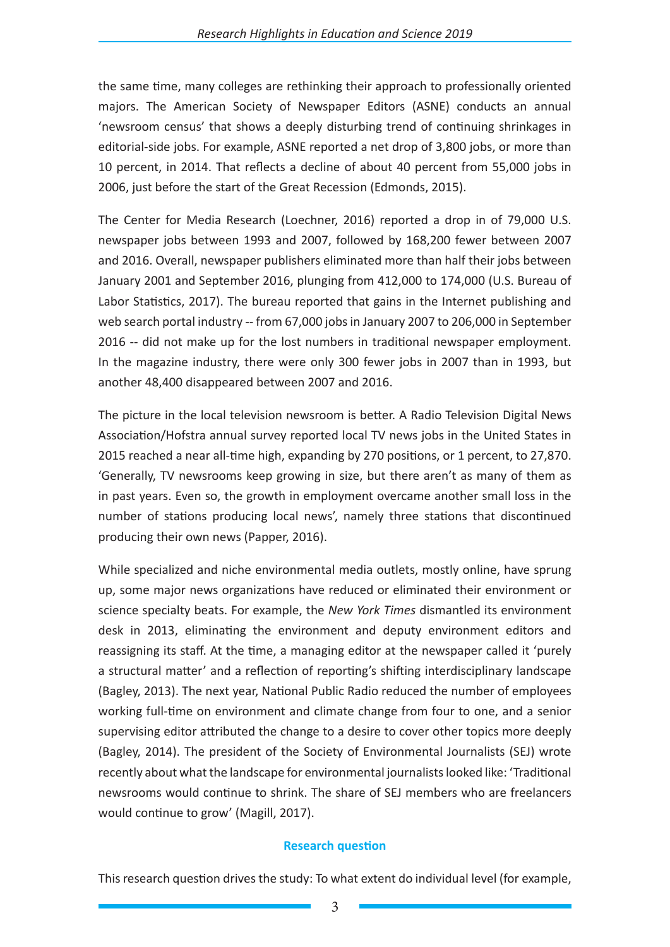the same time, many colleges are rethinking their approach to professionally oriented majors. The American Society of Newspaper Editors (ASNE) conducts an annual 'newsroom census' that shows a deeply disturbing trend of continuing shrinkages in editorial-side jobs. For example, ASNE reported a net drop of 3,800 jobs, or more than 10 percent, in 2014. That reflects a decline of about 40 percent from 55,000 jobs in 2006, just before the start of the Great Recession (Edmonds, 2015).

The Center for Media Research (Loechner, 2016) reported a drop in of 79,000 U.S. newspaper jobs between 1993 and 2007, followed by 168,200 fewer between 2007 and 2016. Overall, newspaper publishers eliminated more than half their jobs between January 2001 and September 2016, plunging from 412,000 to 174,000 (U.S. Bureau of Labor Statistics, 2017). The bureau reported that gains in the Internet publishing and web search portal industry -- from 67,000 jobs in January 2007 to 206,000 in September 2016 -- did not make up for the lost numbers in traditional newspaper employment. In the magazine industry, there were only 300 fewer jobs in 2007 than in 1993, but another 48,400 disappeared between 2007 and 2016.

The picture in the local television newsroom is better. A Radio Television Digital News Association/Hofstra annual survey reported local TV news jobs in the United States in 2015 reached a near all-time high, expanding by 270 positions, or 1 percent, to 27,870. 'Generally, TV newsrooms keep growing in size, but there aren't as many of them as in past years. Even so, the growth in employment overcame another small loss in the number of stations producing local news', namely three stations that discontinued producing their own news (Papper, 2016).

While specialized and niche environmental media outlets, mostly online, have sprung up, some major news organizations have reduced or eliminated their environment or science specialty beats. For example, the *New York Times* dismantled its environment desk in 2013, eliminating the environment and deputy environment editors and reassigning its staff. At the time, a managing editor at the newspaper called it 'purely a structural matter' and a reflection of reporting's shifting interdisciplinary landscape (Bagley, 2013). The next year, National Public Radio reduced the number of employees working full-time on environment and climate change from four to one, and a senior supervising editor attributed the change to a desire to cover other topics more deeply (Bagley, 2014). The president of the Society of Environmental Journalists (SEJ) wrote recently about what the landscape for environmental journalists looked like: 'Traditional newsrooms would continue to shrink. The share of SEJ members who are freelancers would continue to grow' (Magill, 2017).

### **Research question**

This research question drives the study: To what extent do individual level (for example,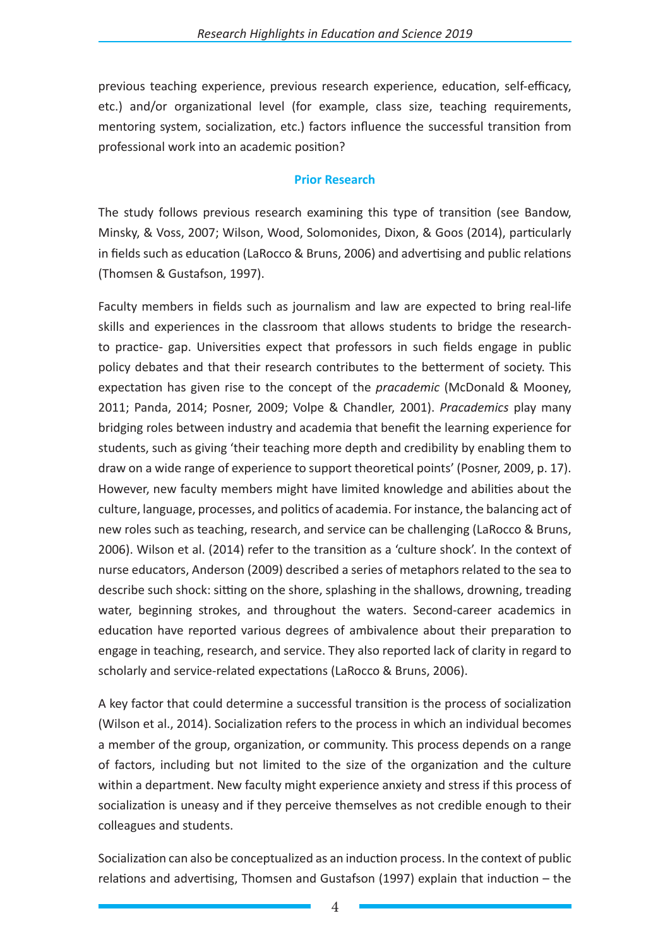previous teaching experience, previous research experience, education, self-efficacy, etc.) and/or organizational level (for example, class size, teaching requirements, mentoring system, socialization, etc.) factors influence the successful transition from professional work into an academic position?

### **Prior Research**

The study follows previous research examining this type of transition (see Bandow, Minsky, & Voss, 2007; Wilson, Wood, Solomonides, Dixon, & Goos (2014), particularly in fields such as education (LaRocco & Bruns, 2006) and advertising and public relations (Thomsen & Gustafson, 1997).

Faculty members in fields such as journalism and law are expected to bring real-life skills and experiences in the classroom that allows students to bridge the researchto practice- gap. Universities expect that professors in such fields engage in public policy debates and that their research contributes to the betterment of society. This expectation has given rise to the concept of the *pracademic* (McDonald & Mooney, 2011; Panda, 2014; Posner, 2009; Volpe & Chandler, 2001). *Pracademics* play many bridging roles between industry and academia that benefit the learning experience for students, such as giving 'their teaching more depth and credibility by enabling them to draw on a wide range of experience to support theoretical points' (Posner, 2009, p. 17). However, new faculty members might have limited knowledge and abilities about the culture, language, processes, and politics of academia. For instance, the balancing act of new roles such as teaching, research, and service can be challenging (LaRocco & Bruns, 2006). Wilson et al. (2014) refer to the transition as a 'culture shock'. In the context of nurse educators, Anderson (2009) described a series of metaphors related to the sea to describe such shock: sitting on the shore, splashing in the shallows, drowning, treading water, beginning strokes, and throughout the waters. Second-career academics in education have reported various degrees of ambivalence about their preparation to engage in teaching, research, and service. They also reported lack of clarity in regard to scholarly and service-related expectations (LaRocco & Bruns, 2006).

A key factor that could determine a successful transition is the process of socialization (Wilson et al., 2014). Socialization refers to the process in which an individual becomes a member of the group, organization, or community. This process depends on a range of factors, including but not limited to the size of the organization and the culture within a department. New faculty might experience anxiety and stress if this process of socialization is uneasy and if they perceive themselves as not credible enough to their colleagues and students.

Socialization can also be conceptualized as an induction process. In the context of public relations and advertising, Thomsen and Gustafson (1997) explain that induction – the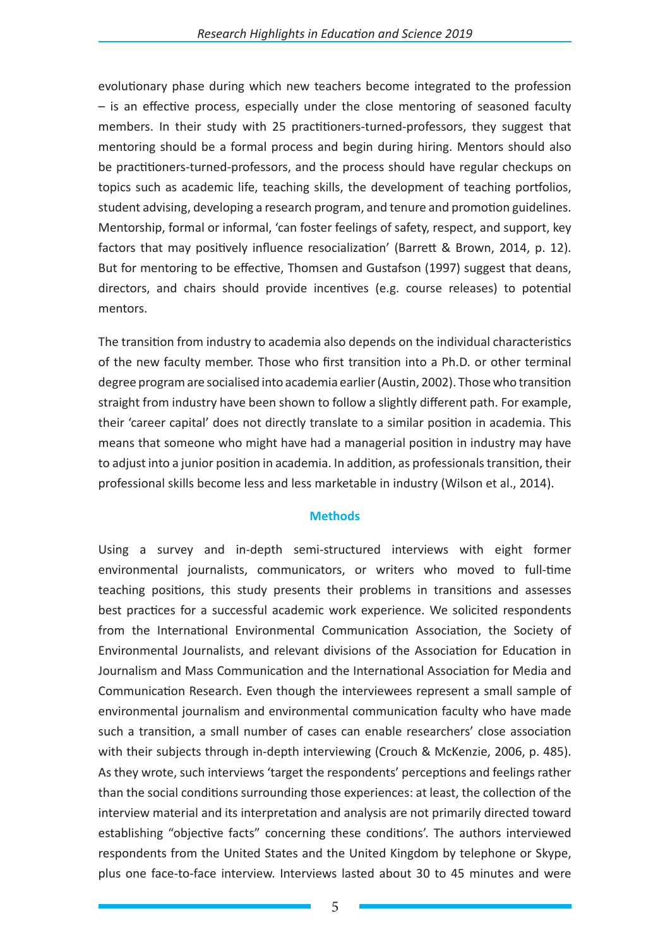evolutionary phase during which new teachers become integrated to the profession – is an effective process, especially under the close mentoring of seasoned faculty members. In their study with 25 practitioners-turned-professors, they suggest that mentoring should be a formal process and begin during hiring. Mentors should also be practitioners-turned-professors, and the process should have regular checkups on topics such as academic life, teaching skills, the development of teaching portfolios, student advising, developing a research program, and tenure and promotion guidelines. Mentorship, formal or informal, 'can foster feelings of safety, respect, and support, key factors that may positively influence resocialization' (Barrett & Brown, 2014, p. 12). But for mentoring to be effective, Thomsen and Gustafson (1997) suggest that deans, directors, and chairs should provide incentives (e.g. course releases) to potential mentors.

The transition from industry to academia also depends on the individual characteristics of the new faculty member. Those who first transition into a Ph.D. or other terminal degree program are socialised into academia earlier (Austin, 2002). Those who transition straight from industry have been shown to follow a slightly different path. For example, their 'career capital' does not directly translate to a similar position in academia. This means that someone who might have had a managerial position in industry may have to adjust into a junior position in academia. In addition, as professionals transition, their professional skills become less and less marketable in industry (Wilson et al., 2014).

### **Methods**

Using a survey and in-depth semi-structured interviews with eight former environmental journalists, communicators, or writers who moved to full-time teaching positions, this study presents their problems in transitions and assesses best practices for a successful academic work experience. We solicited respondents from the International Environmental Communication Association, the Society of Environmental Journalists, and relevant divisions of the Association for Education in Journalism and Mass Communication and the International Association for Media and Communication Research. Even though the interviewees represent a small sample of environmental journalism and environmental communication faculty who have made such a transition, a small number of cases can enable researchers' close association with their subjects through in-depth interviewing (Crouch & McKenzie, 2006, p. 485). As they wrote, such interviews 'target the respondents' perceptions and feelings rather than the social conditions surrounding those experiences: at least, the collection of the interview material and its interpretation and analysis are not primarily directed toward establishing "objective facts" concerning these conditions'. The authors interviewed respondents from the United States and the United Kingdom by telephone or Skype, plus one face-to-face interview. Interviews lasted about 30 to 45 minutes and were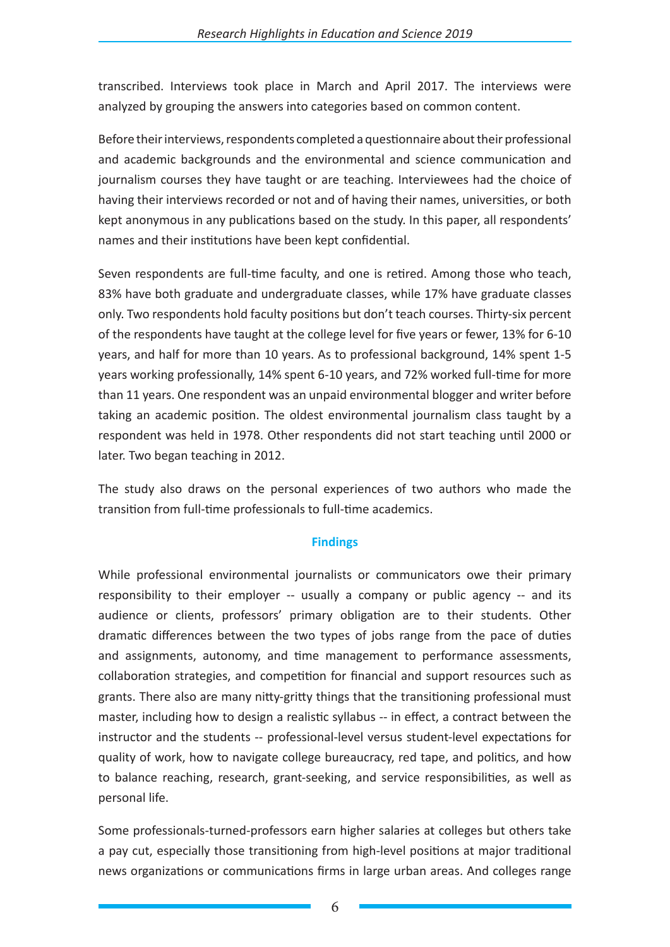transcribed. Interviews took place in March and April 2017. The interviews were analyzed by grouping the answers into categories based on common content.

Before their interviews, respondents completed a questionnaire about their professional and academic backgrounds and the environmental and science communication and journalism courses they have taught or are teaching. Interviewees had the choice of having their interviews recorded or not and of having their names, universities, or both kept anonymous in any publications based on the study. In this paper, all respondents' names and their institutions have been kept confidential.

Seven respondents are full-time faculty, and one is retired. Among those who teach, 83% have both graduate and undergraduate classes, while 17% have graduate classes only. Two respondents hold faculty positions but don't teach courses. Thirty-six percent of the respondents have taught at the college level for five years or fewer, 13% for 6-10 years, and half for more than 10 years. As to professional background, 14% spent 1-5 years working professionally, 14% spent 6-10 years, and 72% worked full-time for more than 11 years. One respondent was an unpaid environmental blogger and writer before taking an academic position. The oldest environmental journalism class taught by a respondent was held in 1978. Other respondents did not start teaching until 2000 or later. Two began teaching in 2012.

The study also draws on the personal experiences of two authors who made the transition from full-time professionals to full-time academics.

## **Findings**

While professional environmental journalists or communicators owe their primary responsibility to their employer -- usually a company or public agency -- and its audience or clients, professors' primary obligation are to their students. Other dramatic differences between the two types of jobs range from the pace of duties and assignments, autonomy, and time management to performance assessments, collaboration strategies, and competition for financial and support resources such as grants. There also are many nitty-gritty things that the transitioning professional must master, including how to design a realistic syllabus -- in effect, a contract between the instructor and the students -- professional-level versus student-level expectations for quality of work, how to navigate college bureaucracy, red tape, and politics, and how to balance reaching, research, grant-seeking, and service responsibilities, as well as personal life.

Some professionals-turned-professors earn higher salaries at colleges but others take a pay cut, especially those transitioning from high-level positions at major traditional news organizations or communications firms in large urban areas. And colleges range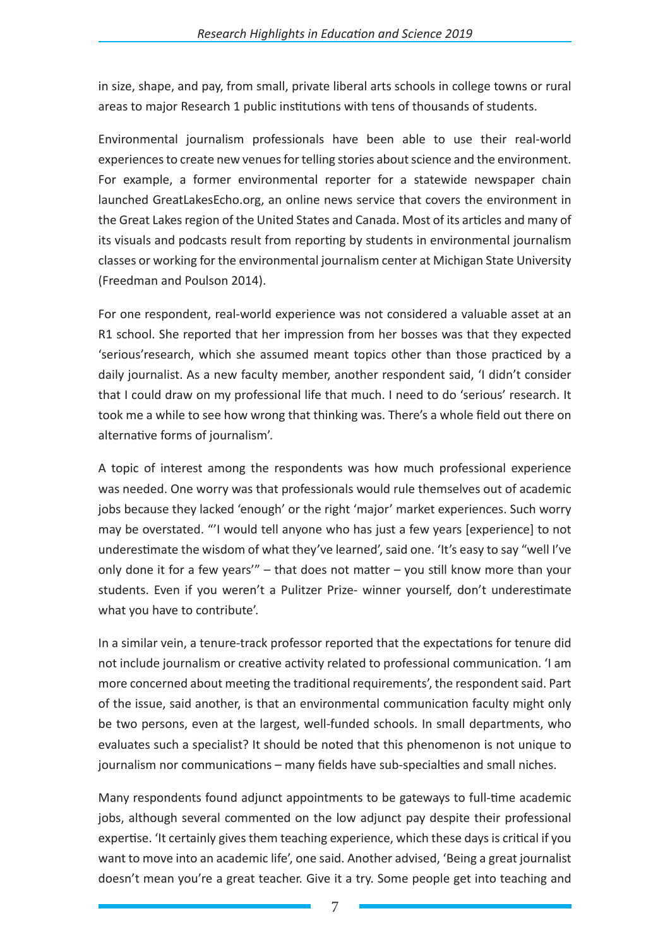in size, shape, and pay, from small, private liberal arts schools in college towns or rural areas to major Research 1 public institutions with tens of thousands of students.

Environmental journalism professionals have been able to use their real-world experiences to create new venues for telling stories about science and the environment. For example, a former environmental reporter for a statewide newspaper chain launched GreatLakesEcho.org, an online news service that covers the environment in the Great Lakes region of the United States and Canada. Most of its articles and many of its visuals and podcasts result from reporting by students in environmental journalism classes or working for the environmental journalism center at Michigan State University (Freedman and Poulson 2014).

For one respondent, real-world experience was not considered a valuable asset at an R1 school. She reported that her impression from her bosses was that they expected 'serious'research, which she assumed meant topics other than those practiced by a daily journalist. As a new faculty member, another respondent said, 'I didn't consider that I could draw on my professional life that much. I need to do 'serious' research. It took me a while to see how wrong that thinking was. There's a whole field out there on alternative forms of journalism'.

A topic of interest among the respondents was how much professional experience was needed. One worry was that professionals would rule themselves out of academic jobs because they lacked 'enough' or the right 'major' market experiences. Such worry may be overstated. "'I would tell anyone who has just a few years [experience] to not underestimate the wisdom of what they've learned', said one. 'It's easy to say "well I've only done it for a few years'" – that does not matter – you still know more than your students. Even if you weren't a Pulitzer Prize- winner yourself, don't underestimate what you have to contribute'.

In a similar vein, a tenure-track professor reported that the expectations for tenure did not include journalism or creative activity related to professional communication. 'I am more concerned about meeting the traditional requirements', the respondent said. Part of the issue, said another, is that an environmental communication faculty might only be two persons, even at the largest, well-funded schools. In small departments, who evaluates such a specialist? It should be noted that this phenomenon is not unique to journalism nor communications – many fields have sub-specialties and small niches.

Many respondents found adjunct appointments to be gateways to full-time academic jobs, although several commented on the low adjunct pay despite their professional expertise. 'It certainly gives them teaching experience, which these days is critical if you want to move into an academic life', one said. Another advised, 'Being a great journalist doesn't mean you're a great teacher. Give it a try. Some people get into teaching and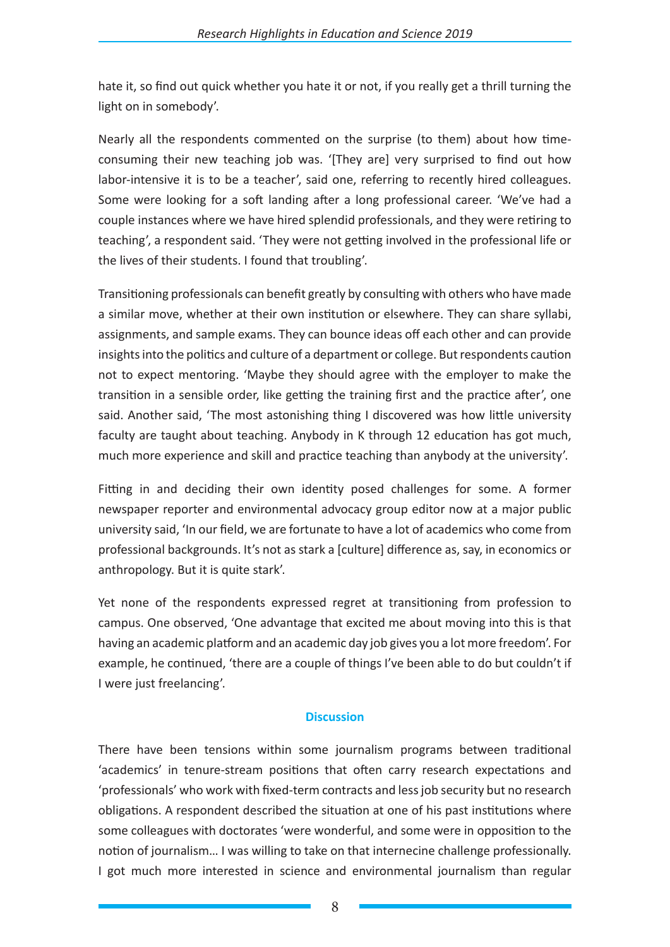hate it, so find out quick whether you hate it or not, if you really get a thrill turning the light on in somebody'.

Nearly all the respondents commented on the surprise (to them) about how timeconsuming their new teaching job was. '[They are] very surprised to find out how labor-intensive it is to be a teacher', said one, referring to recently hired colleagues. Some were looking for a soft landing after a long professional career. 'We've had a couple instances where we have hired splendid professionals, and they were retiring to teaching', a respondent said. 'They were not getting involved in the professional life or the lives of their students. I found that troubling'.

Transitioning professionals can benefit greatly by consulting with others who have made a similar move, whether at their own institution or elsewhere. They can share syllabi, assignments, and sample exams. They can bounce ideas off each other and can provide insights into the politics and culture of a department or college. But respondents caution not to expect mentoring. 'Maybe they should agree with the employer to make the transition in a sensible order, like getting the training first and the practice after', one said. Another said, 'The most astonishing thing I discovered was how little university faculty are taught about teaching. Anybody in K through 12 education has got much, much more experience and skill and practice teaching than anybody at the university'.

Fitting in and deciding their own identity posed challenges for some. A former newspaper reporter and environmental advocacy group editor now at a major public university said, 'In our field, we are fortunate to have a lot of academics who come from professional backgrounds. It's not as stark a [culture] difference as, say, in economics or anthropology. But it is quite stark'.

Yet none of the respondents expressed regret at transitioning from profession to campus. One observed, 'One advantage that excited me about moving into this is that having an academic platform and an academic day job gives you a lot more freedom'. For example, he continued, 'there are a couple of things I've been able to do but couldn't if I were just freelancing'.

## **Discussion**

There have been tensions within some journalism programs between traditional 'academics' in tenure-stream positions that often carry research expectations and 'professionals' who work with fixed-term contracts and less job security but no research obligations. A respondent described the situation at one of his past institutions where some colleagues with doctorates 'were wonderful, and some were in opposition to the notion of journalism… I was willing to take on that internecine challenge professionally. I got much more interested in science and environmental journalism than regular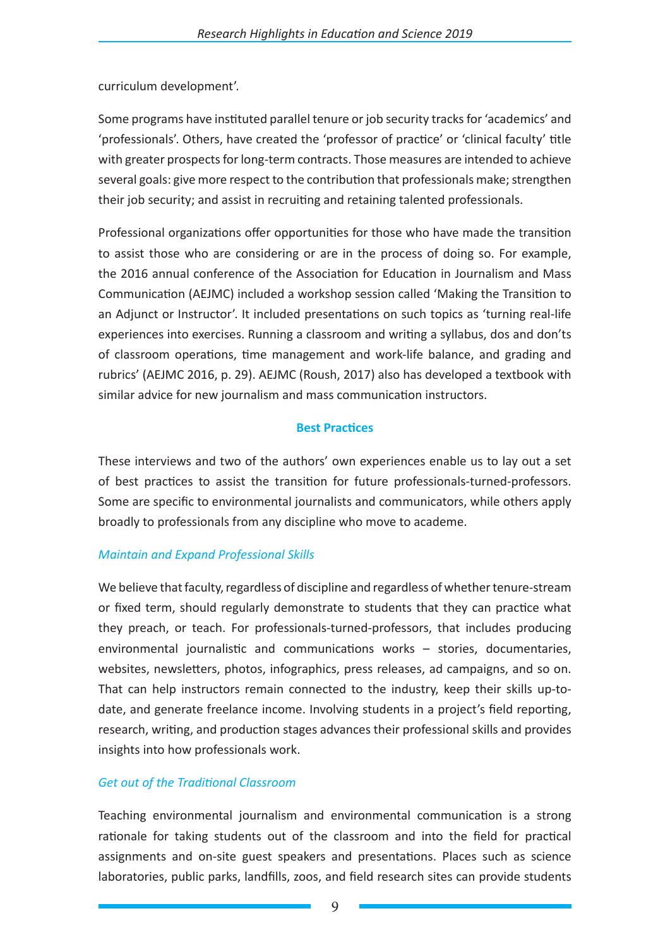curriculum development'.

Some programs have instituted parallel tenure or job security tracks for 'academics' and 'professionals'. Others, have created the 'professor of practice' or 'clinical faculty' title with greater prospects for long-term contracts. Those measures are intended to achieve several goals: give more respect to the contribution that professionals make; strengthen their job security; and assist in recruiting and retaining talented professionals.

Professional organizations offer opportunities for those who have made the transition to assist those who are considering or are in the process of doing so. For example, the 2016 annual conference of the Association for Education in Journalism and Mass Communication (AEJMC) included a workshop session called 'Making the Transition to an Adjunct or Instructor'. It included presentations on such topics as 'turning real-life experiences into exercises. Running a classroom and writing a syllabus, dos and don'ts of classroom operations, time management and work-life balance, and grading and rubrics' (AEJMC 2016, p. 29). AEJMC (Roush, 2017) also has developed a textbook with similar advice for new journalism and mass communication instructors.

## **Best Practices**

These interviews and two of the authors' own experiences enable us to lay out a set of best practices to assist the transition for future professionals-turned-professors. Some are specific to environmental journalists and communicators, while others apply broadly to professionals from any discipline who move to academe.

## *Maintain and Expand Professional Skills*

We believe that faculty, regardless of discipline and regardless of whether tenure-stream or fixed term, should regularly demonstrate to students that they can practice what they preach, or teach. For professionals-turned-professors, that includes producing environmental journalistic and communications works – stories, documentaries, websites, newsletters, photos, infographics, press releases, ad campaigns, and so on. That can help instructors remain connected to the industry, keep their skills up-todate, and generate freelance income. Involving students in a project's field reporting, research, writing, and production stages advances their professional skills and provides insights into how professionals work.

## *Get out of the Traditional Classroom*

Teaching environmental journalism and environmental communication is a strong rationale for taking students out of the classroom and into the field for practical assignments and on-site guest speakers and presentations. Places such as science laboratories, public parks, landfills, zoos, and field research sites can provide students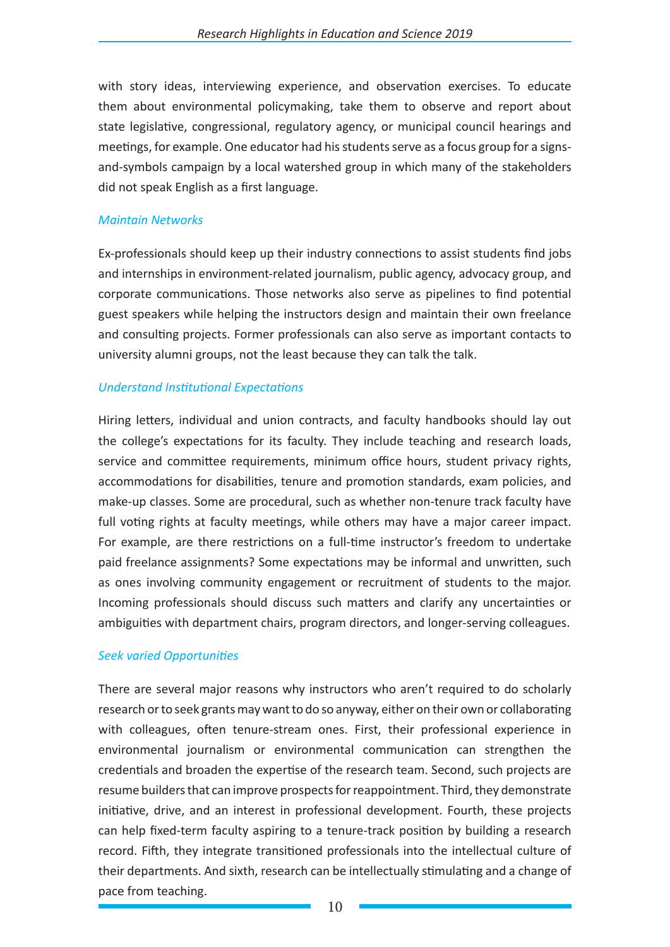with story ideas, interviewing experience, and observation exercises. To educate them about environmental policymaking, take them to observe and report about state legislative, congressional, regulatory agency, or municipal council hearings and meetings, for example. One educator had his students serve as a focus group for a signsand-symbols campaign by a local watershed group in which many of the stakeholders did not speak English as a first language.

### *Maintain Networks*

Ex-professionals should keep up their industry connections to assist students find jobs and internships in environment-related journalism, public agency, advocacy group, and corporate communications. Those networks also serve as pipelines to find potential guest speakers while helping the instructors design and maintain their own freelance and consulting projects. Former professionals can also serve as important contacts to university alumni groups, not the least because they can talk the talk.

## *Understand Institutional Expectations*

Hiring letters, individual and union contracts, and faculty handbooks should lay out the college's expectations for its faculty. They include teaching and research loads, service and committee requirements, minimum office hours, student privacy rights, accommodations for disabilities, tenure and promotion standards, exam policies, and make-up classes. Some are procedural, such as whether non-tenure track faculty have full voting rights at faculty meetings, while others may have a major career impact. For example, are there restrictions on a full-time instructor's freedom to undertake paid freelance assignments? Some expectations may be informal and unwritten, such as ones involving community engagement or recruitment of students to the major. Incoming professionals should discuss such matters and clarify any uncertainties or ambiguities with department chairs, program directors, and longer-serving colleagues.

## *Seek varied Opportunities*

There are several major reasons why instructors who aren't required to do scholarly research or to seek grants may want to do so anyway, either on their own or collaborating with colleagues, often tenure-stream ones. First, their professional experience in environmental journalism or environmental communication can strengthen the credentials and broaden the expertise of the research team. Second, such projects are resume builders that can improve prospects for reappointment. Third, they demonstrate initiative, drive, and an interest in professional development. Fourth, these projects can help fixed-term faculty aspiring to a tenure-track position by building a research record. Fifth, they integrate transitioned professionals into the intellectual culture of their departments. And sixth, research can be intellectually stimulating and a change of pace from teaching.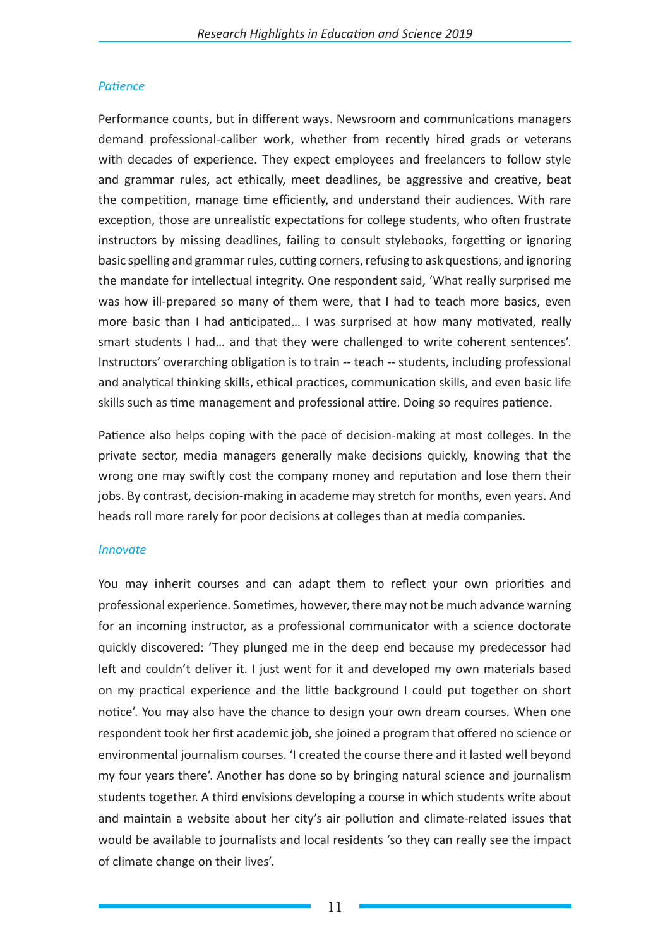## *Patience*

Performance counts, but in different ways. Newsroom and communications managers demand professional-caliber work, whether from recently hired grads or veterans with decades of experience. They expect employees and freelancers to follow style and grammar rules, act ethically, meet deadlines, be aggressive and creative, beat the competition, manage time efficiently, and understand their audiences. With rare exception, those are unrealistic expectations for college students, who often frustrate instructors by missing deadlines, failing to consult stylebooks, forgetting or ignoring basic spelling and grammar rules, cutting corners, refusing to ask questions, and ignoring the mandate for intellectual integrity. One respondent said, 'What really surprised me was how ill-prepared so many of them were, that I had to teach more basics, even more basic than I had anticipated… I was surprised at how many motivated, really smart students I had… and that they were challenged to write coherent sentences'. Instructors' overarching obligation is to train -- teach -- students, including professional and analytical thinking skills, ethical practices, communication skills, and even basic life skills such as time management and professional attire. Doing so requires patience.

Patience also helps coping with the pace of decision-making at most colleges. In the private sector, media managers generally make decisions quickly, knowing that the wrong one may swiftly cost the company money and reputation and lose them their jobs. By contrast, decision-making in academe may stretch for months, even years. And heads roll more rarely for poor decisions at colleges than at media companies.

### *Innovate*

You may inherit courses and can adapt them to reflect your own priorities and professional experience. Sometimes, however, there may not be much advance warning for an incoming instructor, as a professional communicator with a science doctorate quickly discovered: 'They plunged me in the deep end because my predecessor had left and couldn't deliver it. I just went for it and developed my own materials based on my practical experience and the little background I could put together on short notice'. You may also have the chance to design your own dream courses. When one respondent took her first academic job, she joined a program that offered no science or environmental journalism courses. 'I created the course there and it lasted well beyond my four years there'. Another has done so by bringing natural science and journalism students together. A third envisions developing a course in which students write about and maintain a website about her city's air pollution and climate-related issues that would be available to journalists and local residents 'so they can really see the impact of climate change on their lives'.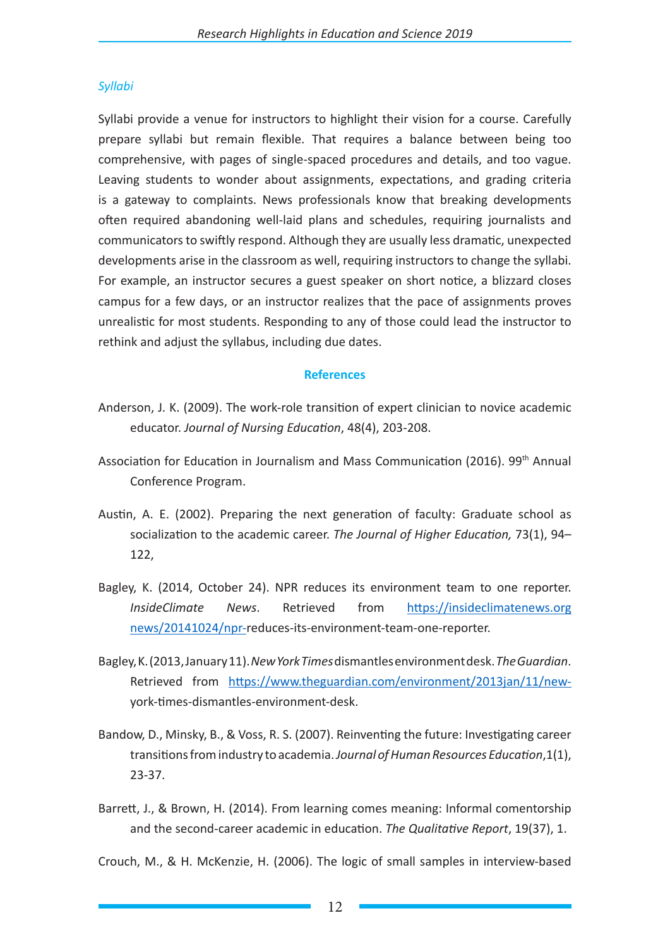## *Syllabi*

Syllabi provide a venue for instructors to highlight their vision for a course. Carefully prepare syllabi but remain flexible. That requires a balance between being too comprehensive, with pages of single-spaced procedures and details, and too vague. Leaving students to wonder about assignments, expectations, and grading criteria is a gateway to complaints. News professionals know that breaking developments often required abandoning well-laid plans and schedules, requiring journalists and communicators to swiftly respond. Although they are usually less dramatic, unexpected developments arise in the classroom as well, requiring instructors to change the syllabi. For example, an instructor secures a guest speaker on short notice, a blizzard closes campus for a few days, or an instructor realizes that the pace of assignments proves unrealistic for most students. Responding to any of those could lead the instructor to rethink and adjust the syllabus, including due dates.

### **References**

- Anderson, J. K. (2009). The work-role transition of expert clinician to novice academic educator. *Journal of Nursing Education*, 48(4), 203-208.
- Association for Education in Journalism and Mass Communication (2016). 99<sup>th</sup> Annual Conference Program.
- Austin, A. E. (2002). Preparing the next generation of faculty: Graduate school as socialization to the academic career. *The Journal of Higher Education,* 73(1), 94– 122,
- Bagley, K. (2014, October 24). NPR reduces its environment team to one reporter. *InsideClimate News*. Retrieved from https://insideclimatenews.org news/20141024/npr-reduces-its-environment-team-one-reporter.
- Bagley, K. (2013, January 11). *New York Times* dismantles environment desk. *The Guardian*. Retrieved from https://www.theguardian.com/environment/2013jan/11/newyork-times-dismantles-environment-desk.
- Bandow, D., Minsky, B., & Voss, R. S. (2007). Reinventing the future: Investigating career transitions from industry to academia. *Journal of Human Resources Education*,1(1), 23-37.
- Barrett, J., & Brown, H. (2014). From learning comes meaning: Informal comentorship and the second-career academic in education. *The Qualitative Report*, 19(37), 1.

Crouch, M., & H. McKenzie, H. (2006). The logic of small samples in interview-based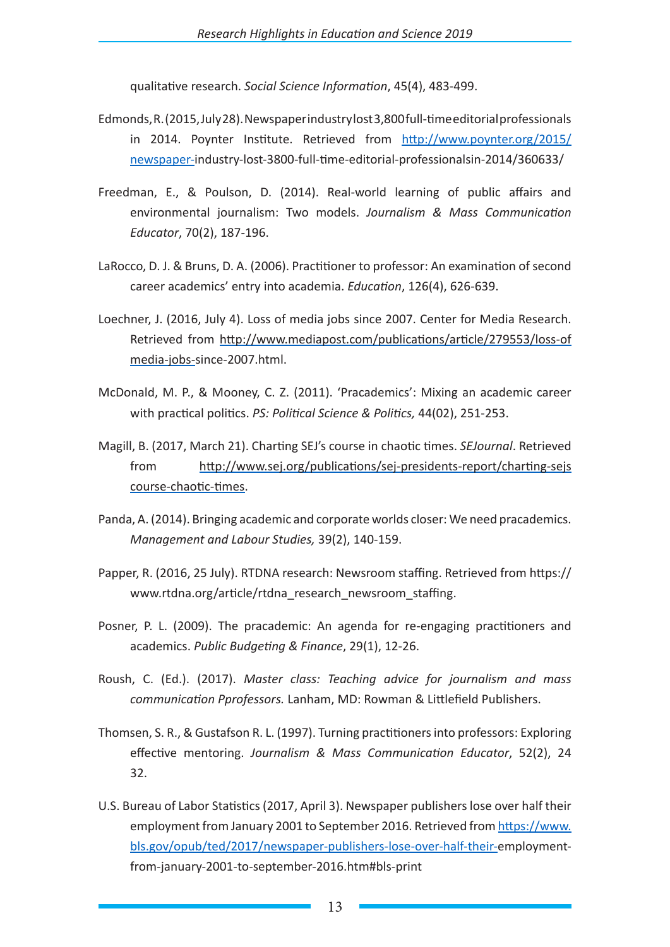qualitative research. *Social Science Information*, 45(4), 483-499.

- Edmonds, R. (2015, July 28). Newspaper industry lost 3,800 full-time editorial professionals in 2014. Poynter Institute. Retrieved from http://www.poynter.org/2015/ newspaper-industry-lost-3800-full-time-editorial-professionalsin-2014/360633/
- Freedman, E., & Poulson, D. (2014). Real-world learning of public affairs and environmental journalism: Two models. *Journalism & Mass Communication Educator*, 70(2), 187-196.
- LaRocco, D. J. & Bruns, D. A. (2006). Practitioner to professor: An examination of second career academics' entry into academia. *Education*, 126(4), 626-639.
- Loechner, J. (2016, July 4). Loss of media jobs since 2007. Center for Media Research. Retrieved from http://www.mediapost.com/publications/article/279553/loss-of media-jobs-since-2007.html.
- McDonald, M. P., & Mooney, C. Z. (2011). 'Pracademics': Mixing an academic career with practical politics. *PS: Political Science & Politics,* 44(02), 251-253.
- Magill, B. (2017, March 21). Charting SEJ's course in chaotic times. *SEJournal*. Retrieved from http://www.sej.org/publications/sej-presidents-report/charting-sejs course-chaotic-times.
- Panda, A. (2014). Bringing academic and corporate worlds closer: We need pracademics. *Management and Labour Studies,* 39(2), 140-159.
- Papper, R. (2016, 25 July). RTDNA research: Newsroom staffing. Retrieved from https:// www.rtdna.org/article/rtdna\_research\_newsroom\_staffing.
- Posner, P. L. (2009). The pracademic: An agenda for re‐engaging practitioners and academics. *Public Budgeting & Finance*, 29(1), 12-26.
- Roush, C. (Ed.). (2017). *Master class: Teaching advice for journalism and mass communication Pprofessors.* Lanham, MD: Rowman & Littlefield Publishers.
- Thomsen, S. R., & Gustafson R. L. (1997). Turning practitioners into professors: Exploring effective mentoring. *Journalism & Mass Communication Educator*, 52(2), 24 32.
- U.S. Bureau of Labor Statistics (2017, April 3). Newspaper publishers lose over half their employment from January 2001 to September 2016. Retrieved from https://www. bls.gov/opub/ted/2017/newspaper-publishers-lose-over-half-their-employmentfrom-january-2001-to-september-2016.htm#bls-print